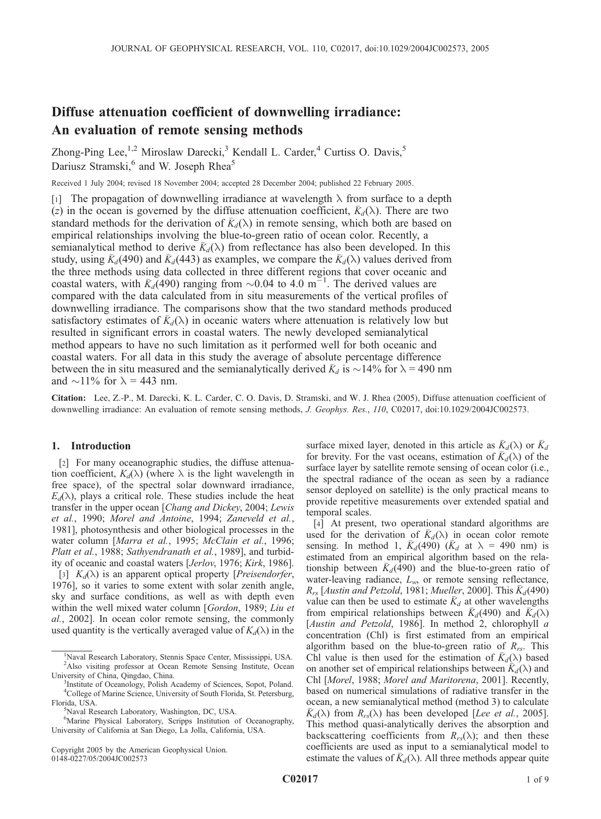# Diffuse attenuation coefficient of downwelling irradiance: An evaluation of remote sensing methods

Zhong-Ping Lee,<sup>1,2</sup> Miroslaw Darecki,<sup>3</sup> Kendall L. Carder,<sup>4</sup> Curtiss O. Davis,<sup>5</sup> Dariusz Stramski,<sup>6</sup> and W. Joseph Rhea<sup>5</sup>

Received 1 July 2004; revised 18 November 2004; accepted 28 December 2004; published 22 February 2005.

[1] The propagation of downwelling irradiance at wavelength  $\lambda$  from surface to a depth (z) in the ocean is governed by the diffuse attenuation coefficient,  $\bar{K}_d(\lambda)$ . There are two standard methods for the derivation of  $\bar{K}_d(\lambda)$  in remote sensing, which both are based on empirical relationships involving the blue-to-green ratio of ocean color. Recently, a semianalytical method to derive  $K_d(\lambda)$  from reflectance has also been developed. In this study, using  $\bar{K}_d$ (490) and  $\bar{K}_d$ (443) as examples, we compare the  $\bar{K}_d(\lambda)$  values derived from the three methods using data collected in three different regions that cover oceanic and coastal waters, with  $\overline{K_d}(490)$  ranging from  $\sim 0.04$  to 4.0 m<sup>-1</sup>. The derived values are compared with the data calculated from in situ measurements of the vertical profiles of downwelling irradiance. The comparisons show that the two standard methods produced satisfactory estimates of  $K_d(\lambda)$  in oceanic waters where attenuation is relatively low but resulted in significant errors in coastal waters. The newly developed semianalytical method appears to have no such limitation as it performed well for both oceanic and coastal waters. For all data in this study the average of absolute percentage difference between the in situ measured and the semianalytically derived  $\bar{K}_d$  is  $\sim$ 14% for  $\lambda$  = 490 nm and  $\sim$ 11% for  $\lambda$  = 443 nm.

Citation: Lee, Z.-P., M. Darecki, K. L. Carder, C. O. Davis, D. Stramski, and W. J. Rhea (2005), Diffuse attenuation coefficient of downwelling irradiance: An evaluation of remote sensing methods, J. Geophys. Res., 110, C02017, doi:10.1029/2004JC002573.

## 1. Introduction

[2] For many oceanographic studies, the diffuse attenuation coefficient,  $K_d(\lambda)$  (where  $\lambda$  is the light wavelength in free space), of the spectral solar downward irradiance,  $E_d(\lambda)$ , plays a critical role. These studies include the heat transfer in the upper ocean [Chang and Dickey, 2004; Lewis et al., 1990; Morel and Antoine, 1994; Zaneveld et al., 1981], photosynthesis and other biological processes in the water column [Marra et al., 1995; McClain et al., 1996; Platt et al., 1988; Sathyendranath et al., 1989], and turbidity of oceanic and coastal waters [Jerlov, 1976; Kirk, 1986].

[3]  $K_d(\lambda)$  is an apparent optical property [*Preisendorfer*, 1976], so it varies to some extent with solar zenith angle, sky and surface conditions, as well as with depth even within the well mixed water column [Gordon, 1989; Liu et al., 2002]. In ocean color remote sensing, the commonly used quantity is the vertically averaged value of  $K_d(\lambda)$  in the

Copyright 2005 by the American Geophysical Union. 0148-0227/05/2004JC002573

surface mixed layer, denoted in this article as  $K_d(\lambda)$  or  $K_d$ for brevity. For the vast oceans, estimation of  $\bar{K}_d(\lambda)$  of the surface layer by satellite remote sensing of ocean color (i.e., the spectral radiance of the ocean as seen by a radiance sensor deployed on satellite) is the only practical means to provide repetitive measurements over extended spatial and temporal scales.

[4] At present, two operational standard algorithms are used for the derivation of  $\bar{K}_d(\lambda)$  in ocean color remote sensing. In method 1,  $\bar{K}_d$ (490) ( $\bar{K}_d$  at  $\lambda = 490$  nm) is estimated from an empirical algorithm based on the relationship between  $\bar{K}_d$ (490) and the blue-to-green ratio of water-leaving radiance,  $L_w$ , or remote sensing reflectance,  $R_{rs}$  [Austin and Petzold, 1981; Mueller, 2000]. This  $\bar{K}_d$  (490) value can then be used to estimate  $\bar{K}_d$  at other wavelengths from empirical relationships between  $\bar{K}_d$ (490) and  $\bar{K}_d(\lambda)$ [Austin and Petzold, 1986]. In method 2, chlorophyll a concentration (Chl) is first estimated from an empirical algorithm based on the blue-to-green ratio of  $R_{rs}$ . This Chl value is then used for the estimation of  $K_d(\lambda)$  based on another set of empirical relationships between  $\bar{K}_d(\lambda)$  and Chl [Morel, 1988; Morel and Maritorena, 2001]. Recently, based on numerical simulations of radiative transfer in the ocean, a new semianalytical method (method 3) to calculate  $\bar{K}_d(\lambda)$  from  $R_{rs}(\lambda)$  has been developed [Lee et al., 2005]. This method quasi-analytically derives the absorption and backscattering coefficients from  $R_{rs}(\lambda)$ ; and then these coefficients are used as input to a semianalytical model to estimate the values of  $\bar{K}_d(\lambda)$ . All three methods appear quite

<sup>&</sup>lt;sup>1</sup>Naval Research Laboratory, Stennis Space Center, Mississippi, USA. <sup>2</sup>Also visiting professor at Ocean Remote Sensing Institute, Ocean University of China, Qingdao, China. <sup>3</sup>

<sup>&</sup>lt;sup>3</sup>Institute of Oceanology, Polish Academy of Sciences, Sopot, Poland. 4 College of Marine Science, University of South Florida, St. Petersburg, Florida, USA. <sup>5</sup>

<sup>&</sup>lt;sup>5</sup>Naval Research Laboratory, Washington, DC, USA.

<sup>&</sup>lt;sup>6</sup>Marine Physical Laboratory, Scripps Institution of Oceanography, University of California at San Diego, La Jolla, California, USA.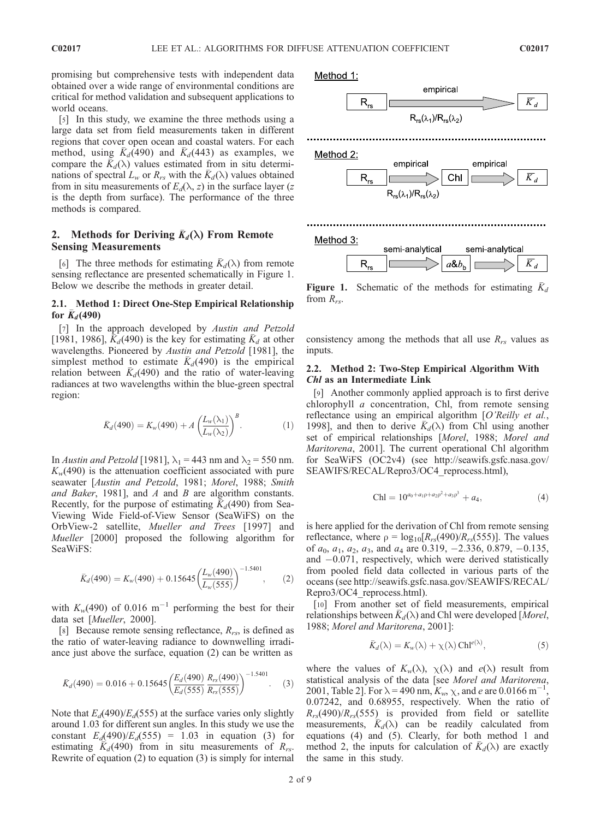promising but comprehensive tests with independent data obtained over a wide range of environmental conditions are critical for method validation and subsequent applications to world oceans.

[5] In this study, we examine the three methods using a large data set from field measurements taken in different regions that cover open ocean and coastal waters. For each method, using  $\overline{K}_d(490)$  and  $\overline{K}_d(443)$  as examples, we compare the  $K_d(\lambda)$  values estimated from in situ determinations of spectral  $L_w$  or  $R_{rs}$  with the  $\bar{K}_d(\lambda)$  values obtained from in situ measurements of  $E_d(\lambda, z)$  in the surface layer (z is the depth from surface). The performance of the three methods is compared.

## 2. Methods for Deriving  $\bar{K}_d(\lambda)$  From Remote Sensing Measurements

[6] The three methods for estimating  $K_d(\lambda)$  from remote sensing reflectance are presented schematically in Figure 1. Below we describe the methods in greater detail.

## 2.1. Method 1: Direct One-Step Empirical Relationship for  $K_d(490)$

[7] In the approach developed by Austin and Petzold [1981, 1986],  $K_d$ (490) is the key for estimating  $K_d$  at other wavelengths. Pioneered by Austin and Petzold [1981], the simplest method to estimate  $K_d(490)$  is the empirical relation between  $K_d(490)$  and the ratio of water-leaving radiances at two wavelengths within the blue-green spectral region:

$$
\bar{K}_d(490) = K_w(490) + A \left(\frac{L_w(\lambda_1)}{L_w(\lambda_2)}\right)^B.
$$
\n(1)

In Austin and Petzold [1981],  $\lambda_1$  = 443 nm and  $\lambda_2$  = 550 nm.  $K_w(490)$  is the attenuation coefficient associated with pure seawater [Austin and Petzold, 1981; Morel, 1988; Smith and Baker, 1981], and A and B are algorithm constants. Recently, for the purpose of estimating  $K_d(490)$  from Sea-Viewing Wide Field-of-View Sensor (SeaWiFS) on the OrbView-2 satellite, Mueller and Trees [1997] and Mueller [2000] proposed the following algorithm for SeaWiFS:

$$
\bar{K}_d(490) = K_w(490) + 0.15645 \left(\frac{L_w(490)}{L_w(555)}\right)^{-1.5401}, \quad (2)
$$

with  $K_w(490)$  of 0.016 m<sup>-1</sup> performing the best for their data set [Mueller, 2000].

[8] Because remote sensing reflectance,  $R_{rs}$ , is defined as the ratio of water-leaving radiance to downwelling irradiance just above the surface, equation (2) can be written as

$$
\bar{K}_d(490) = 0.016 + 0.15645 \left( \frac{E_d(490)}{E_d(555)} \frac{R_{rs}(490)}{R_{rs}(555)} \right)^{-1.5401}.
$$
 (3)

Note that  $E_d(490)/E_d(555)$  at the surface varies only slightly around 1.03 for different sun angles. In this study we use the constant  $E_d(490)/E_d(555) = 1.03$  in equation (3) for estimating  $K_d(490)$  from in situ measurements of  $R_{rs}$ . Rewrite of equation (2) to equation (3) is simply for internal



**Figure 1.** Schematic of the methods for estimating  $K_d$ from  $R_{rs}$ .

consistency among the methods that all use  $R_{rs}$  values as inputs.

## 2.2. Method 2: Two-Step Empirical Algorithm With Chl as an Intermediate Link

[9] Another commonly applied approach is to first derive chlorophyll a concentration, Chl, from remote sensing reflectance using an empirical algorithm [O'Reilly et al., 1998], and then to derive  $K_d(\lambda)$  from Chl using another set of empirical relationships [Morel, 1988; Morel and Maritorena, 2001]. The current operational Chl algorithm for SeaWiFS (OC2v4) (see http://seawifs.gsfc.nasa.gov/ SEAWIFS/RECAL/Repro3/OC4\_reprocess.html),

$$
Chl = 10^{a_0 + a_1 \rho + a_2 \rho^2 + a_3 \rho^3} + a_4, \tag{4}
$$

is here applied for the derivation of Chl from remote sensing reflectance, where  $\rho = \log_{10}[R_{rs}(490)/R_{rs}(555)]$ . The values of  $a_0$ ,  $a_1$ ,  $a_2$ ,  $a_3$ , and  $a_4$  are 0.319, -2.336, 0.879, -0.135, and -0.071, respectively, which were derived statistically from pooled field data collected in various parts of the oceans (see http://seawifs.gsfc.nasa.gov/SEAWIFS/RECAL/ Repro3/OC4\_reprocess.html).

[10] From another set of field measurements, empirical relationships between  $K_d(\lambda)$  and Chl were developed [Morel, 1988; Morel and Maritorena, 2001]:

$$
\bar{K}_d(\lambda) = K_w(\lambda) + \chi(\lambda) \operatorname{Ch}^{e(\lambda)},\tag{5}
$$

where the values of  $K_w(\lambda)$ ,  $\chi(\lambda)$  and  $e(\lambda)$  result from statistical analysis of the data [see Morel and Maritorena, 2001, Table 2]. For  $\lambda = 490$  nm,  $K_w$ ,  $\chi$ , and e are 0.0166 m<sup>-1</sup>, 0.07242, and 0.68955, respectively. When the ratio of  $R_{rs}(490)/R_{rs}(555)$  is provided from field or satellite measurements,  $\overline{K}_d(\lambda)$  can be readily calculated from equations (4) and (5). Clearly, for both method 1 and method 2, the inputs for calculation of  $K_d(\lambda)$  are exactly the same in this study.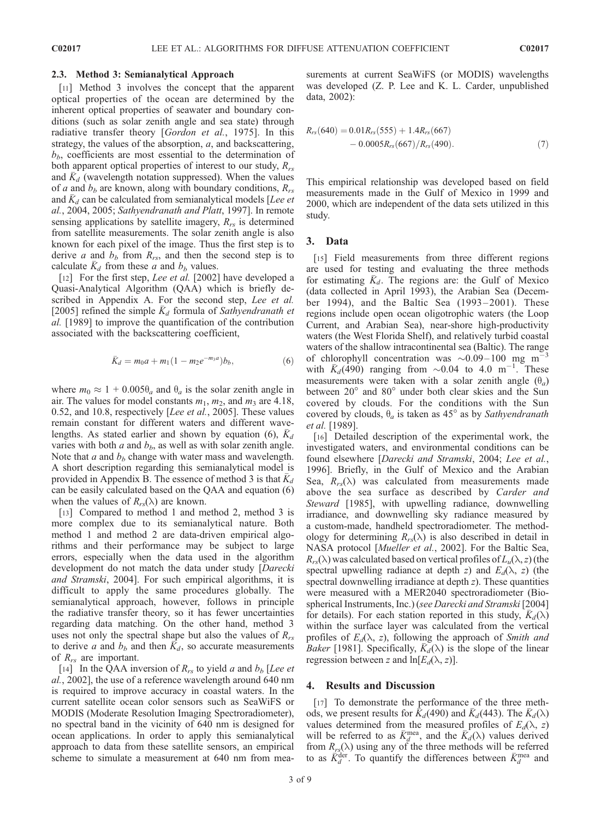#### 2.3. Method 3: Semianalytical Approach

[11] Method 3 involves the concept that the apparent optical properties of the ocean are determined by the inherent optical properties of seawater and boundary conditions (such as solar zenith angle and sea state) through radiative transfer theory [Gordon et al., 1975]. In this strategy, the values of the absorption, a, and backscattering,  $b<sub>b</sub>$ , coefficients are most essential to the determination of both apparent optical properties of interest to our study,  $R_{rs}$ and  $\bar{K}_d$  (wavelength notation suppressed). When the values of a and  $b_b$  are known, along with boundary conditions,  $R_{rs}$ and  $K_d$  can be calculated from semianalytical models [Lee et al., 2004, 2005; Sathyendranath and Platt, 1997]. In remote sensing applications by satellite imagery,  $R_{rs}$  is determined from satellite measurements. The solar zenith angle is also known for each pixel of the image. Thus the first step is to derive a and  $b_b$  from  $R_{rs}$ , and then the second step is to calculate  $\bar{K}_d$  from these a and  $b_b$  values.

[12] For the first step, *Lee et al.* [2002] have developed a Quasi-Analytical Algorithm (QAA) which is briefly described in Appendix A. For the second step, Lee et al. [2005] refined the simple  $\bar{K}_d$  formula of Sathyendranath et al. [1989] to improve the quantification of the contribution associated with the backscattering coefficient,

$$
\bar{K}_d = m_0 a + m_1 (1 - m_2 e^{-m_3 a}) b_b,
$$
 (6)

where  $m_0 \approx 1 + 0.005\theta_a$  and  $\theta_a$  is the solar zenith angle in air. The values for model constants  $m_1$ ,  $m_2$ , and  $m_3$  are 4.18, 0.52, and 10.8, respectively [Lee et al., 2005]. These values remain constant for different waters and different wavelengths. As stated earlier and shown by equation (6),  $\bar{K}_d$ varies with both  $a$  and  $b<sub>b</sub>$ , as well as with solar zenith angle. Note that  $a$  and  $b_b$  change with water mass and wavelength. A short description regarding this semianalytical model is provided in Appendix B. The essence of method 3 is that  $\bar{K}_d$ can be easily calculated based on the QAA and equation (6) when the values of  $R_{rs}(\lambda)$  are known.

[13] Compared to method 1 and method 2, method 3 is more complex due to its semianalytical nature. Both method 1 and method 2 are data-driven empirical algorithms and their performance may be subject to large errors, especially when the data used in the algorithm development do not match the data under study [Darecki and Stramski, 2004]. For such empirical algorithms, it is difficult to apply the same procedures globally. The semianalytical approach, however, follows in principle the radiative transfer theory, so it has fewer uncertainties regarding data matching. On the other hand, method 3 uses not only the spectral shape but also the values of  $R_{rs}$ to derive a and  $b_b$  and then  $K_d$ , so accurate measurements of  $R_{rs}$  are important.

[14] In the QAA inversion of  $R_{rs}$  to yield a and  $b_b$  [Lee et al., 2002], the use of a reference wavelength around 640 nm is required to improve accuracy in coastal waters. In the current satellite ocean color sensors such as SeaWiFS or MODIS (Moderate Resolution Imaging Spectroradiometer), no spectral band in the vicinity of 640 nm is designed for ocean applications. In order to apply this semianalytical approach to data from these satellite sensors, an empirical scheme to simulate a measurement at 640 nm from measurements at current SeaWiFS (or MODIS) wavelengths was developed (Z. P. Lee and K. L. Carder, unpublished data, 2002):

$$
R_{rs}(640) = 0.01R_{rs}(555) + 1.4R_{rs}(667)
$$
  
- 0.0005 $R_{rs}(667)/R_{rs}(490)$ . (7)

This empirical relationship was developed based on field measurements made in the Gulf of Mexico in 1999 and 2000, which are independent of the data sets utilized in this study.

## 3. Data

[15] Field measurements from three different regions are used for testing and evaluating the three methods for estimating  $K_d$ . The regions are: the Gulf of Mexico (data collected in April 1993), the Arabian Sea (December 1994), and the Baltic Sea (1993–2001). These regions include open ocean oligotrophic waters (the Loop Current, and Arabian Sea), near-shore high-productivity waters (the West Florida Shelf), and relatively turbid coastal waters of the shallow intracontinental sea (Baltic). The range of chlorophyll concentration was  $\sim 0.09-100$  mg m<sup>-3</sup> with  $\bar{K}_d$ (490) ranging from  $\sim 0.04$  to 4.0 m<sup>-1</sup>. These measurements were taken with a solar zenith angle  $(\theta_a)$ between 20° and 80° under both clear skies and the Sun covered by clouds. For the conditions with the Sun covered by clouds,  $\theta_a$  is taken as 45° as by Sathyendranath et al. [1989].

[16] Detailed description of the experimental work, the investigated waters, and environmental conditions can be found elsewhere [Darecki and Stramski, 2004; Lee et al., 1996]. Briefly, in the Gulf of Mexico and the Arabian Sea,  $R_{rs}(\lambda)$  was calculated from measurements made above the sea surface as described by Carder and Steward [1985], with upwelling radiance, downwelling irradiance, and downwelling sky radiance measured by a custom-made, handheld spectroradiometer. The methodology for determining  $R_{rs}(\lambda)$  is also described in detail in NASA protocol [*Mueller et al.*, 2002]. For the Baltic Sea,  $R_{rs}(\lambda)$  was calculated based on vertical profiles of  $L_u(\lambda, z)$  (the spectral upwelling radiance at depth z) and  $E_d(\lambda, z)$  (the spectral downwelling irradiance at depth z). These quantities were measured with a MER2040 spectroradiometer (Biospherical Instruments, Inc.) (see Darecki and Stramski [2004] for details). For each station reported in this study,  $\bar{K}_d(\lambda)$ within the surface layer was calculated from the vertical profiles of  $E_d(\lambda, z)$ , following the approach of Smith and *Baker* [1981]. Specifically,  $K_d(\lambda)$  is the slope of the linear regression between z and  $\ln[E_d(\lambda, z)]$ .

## 4. Results and Discussion

[17] To demonstrate the performance of the three methods, we present results for  $K_d(490)$  and  $K_d(443)$ . The  $K_d(\lambda)$ values determined from the measured profiles of  $E_d(\lambda, z)$ will be referred to as  $\bar{K}_d^{\text{mea}}$ , and the  $\bar{K}_d(\lambda)$  values derived from  $R_{rs}(\lambda)$  using any of the three methods will be referred to as  $\dot{K}_d^{\text{der}}$ . To quantify the differences between  $\bar{K}_d^{\text{mea}}$  and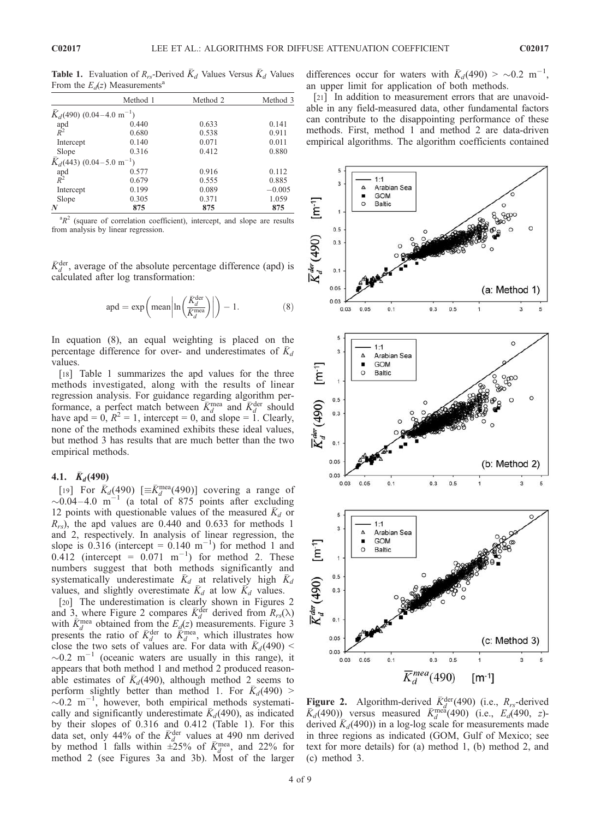**Table 1.** Evaluation of  $R_{rs}$ -Derived  $\bar{K}_d$  Values Versus  $\bar{K}_d$  Values From the  $E_d(z)$  Measurements<sup>a</sup>

|                                         | Method 1 | Method 2 | Method 3 |
|-----------------------------------------|----------|----------|----------|
| $K_d(490)$ (0.04–4.0 m <sup>-1</sup> )  |          |          |          |
|                                         | 0.440    | 0.633    | 0.141    |
| apd<br>$R^2$                            | 0.680    | 0.538    | 0.911    |
| Intercept                               | 0.140    | 0.071    | 0.011    |
| Slope                                   | 0.316    | 0.412    | 0.880    |
| $K_d$ (443) (0.04–5.0 m <sup>-1</sup> ) |          |          |          |
|                                         | 0.577    | 0.916    | 0.112    |
| apd<br>$R^2$                            | 0.679    | 0.555    | 0.885    |
| Intercept                               | 0.199    | 0.089    | $-0.005$ |
| Slope                                   | 0.305    | 0.371    | 1.059    |
| N                                       | 875      | 875      | 875      |

 ${}^{a}R^{2}$  (square of correlation coefficient), intercept, and slope are results from analysis by linear regression.

 $\bar{K}_{d}^{\text{der}}$ , average of the absolute percentage difference (apd) is calculated after log transformation:

$$
apd = \exp\left(\text{mean}\left|\ln\left(\frac{\bar{K}_d^{\text{der}}}{\bar{K}_d^{\text{mea}}}\right)\right|\right) - 1. \tag{8}
$$

In equation (8), an equal weighting is placed on the percentage difference for over- and underestimates of  $K_d$ values.

[18] Table 1 summarizes the apd values for the three methods investigated, along with the results of linear regression analysis. For guidance regarding algorithm performance, a perfect match between  $\overline{K}_{d}^{\text{mea}}$  and  $\overline{K}_{d}^{\text{der}}$  should have apd = 0,  $R^2 = 1$ , intercept = 0, and slope = 1. Clearly, none of the methods examined exhibits these ideal values, but method 3 has results that are much better than the two empirical methods.

#### 4.1.  $\bar{K}_d(490)$

[19] For  $\bar{K}_d$ (490) [ $\equiv \bar{K}_d^{\text{mea}}$ (490)] covering a range of  $\sim 0.04 - 4.0$  m<sup>-1</sup> (a total of 875 points after excluding 12 points with questionable values of the measured  $K_d$  or  $R_{rs}$ ), the apd values are 0.440 and 0.633 for methods 1 and 2, respectively. In analysis of linear regression, the slope is 0.316 (intercept =  $0.140 \text{ m}^{-1}$ ) for method 1 and  $0.412$  (intercept =  $0.071$  m<sup>-1</sup>) for method 2. These numbers suggest that both methods significantly and systematically underestimate  $\bar{K}_d$  at relatively high  $\bar{K}_d$ values, and slightly overestimate  $\bar{K}_d$  at low  $\bar{K}_d$  values.

[20] The underestimation is clearly shown in Figures 2 and 3, where Figure 2 compares  $\bar{K}_{d}^{\text{der}}$  derived from  $R_{rs}(\lambda)$ with  $\bar{K}_{d}^{\text{mea}}$  obtained from the  $E_{d}(z)$  measurements. Figure 3 presents the ratio of  $\bar{K}_{d}^{\text{der}}$  to  $\bar{K}_{d}^{\text{mea}}$ , which illustrates how close the two sets of values are. For data with  $\bar{K}_d(490)$  <  $\sim$ 0.2 m<sup>-1</sup> (oceanic waters are usually in this range), it appears that both method 1 and method 2 produced reasonable estimates of  $\bar{K}_d$ (490), although method 2 seems to perform slightly better than method 1. For  $\bar{K}_d(490)$  >  $\sim$ 0.2 m<sup>-1</sup>, however, both empirical methods systematically and significantly underestimate  $\bar{K}_d$ (490), as indicated by their slopes of 0.316 and 0.412 (Table 1). For this data set, only 44% of the  $\bar{K}_{d}^{\text{der}}$  values at 490 nm derived by method 1 falls within  $\pm 25\%$  of  $\bar{K}_{d}^{\text{mea}}$ , and 22% for method 2 (see Figures 3a and 3b). Most of the larger differences occur for waters with  $\bar{K}_d(490) > \sim 0.2 \text{ m}^{-1}$ , an upper limit for application of both methods.

[21] In addition to measurement errors that are unavoidable in any field-measured data, other fundamental factors can contribute to the disappointing performance of these methods. First, method 1 and method 2 are data-driven empirical algorithms. The algorithm coefficients contained



**Figure 2.** Algorithm-derived  $\overline{K}_d^{\text{der}}(490)$  (i.e.,  $R_{rs}$ -derived  $\overline{K}_{d}(490)$  versus measured  $\overline{K}_{d}^{\text{mea}}(490)$  (i.e.,  $\overline{E}_{d}(490, z)$ derived  $\bar{K}_d$ (490)) in a log-log scale for measurements made in three regions as indicated (GOM, Gulf of Mexico; see text for more details) for (a) method 1, (b) method 2, and (c) method 3.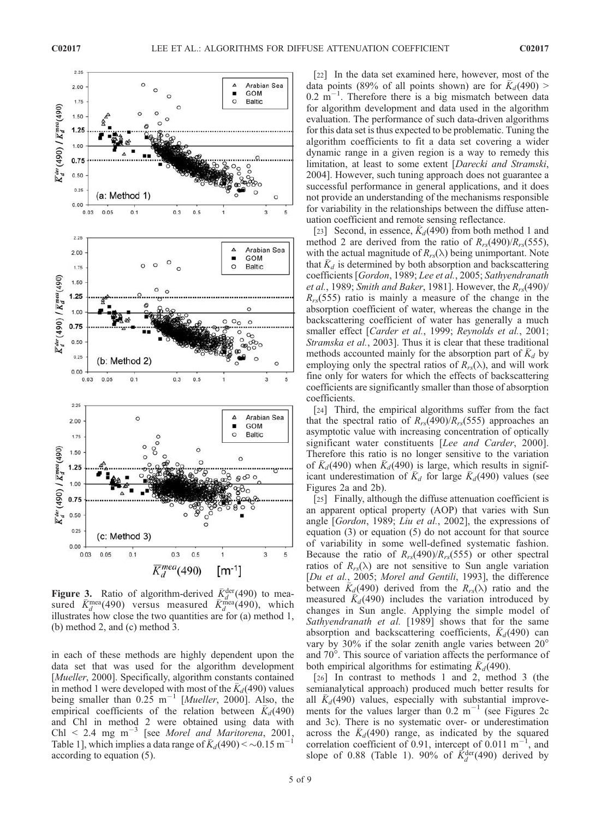

**Figure 3.** Ratio of algorithm-derived  $\bar{K}_d^{\text{der}}(490)$  to measured  $\bar{K}_{d}^{\text{mea}}(490)$  versus measured  $\bar{K}_{d}^{\text{mea}}(490)$ , which illustrates how close the two quantities are for (a) method 1, (b) method 2, and (c) method 3.

in each of these methods are highly dependent upon the data set that was used for the algorithm development [*Mueller*, 2000]. Specifically, algorithm constants contained in method 1 were developed with most of the  $\bar{K}_d$ (490) values being smaller than  $0.25 \text{ m}^{-1}$  [*Mueller*, 2000]. Also, the empirical coefficients of the relation between  $\bar{K}_d$ (490) and Chl in method 2 were obtained using data with Chl < 2.4 mg m<sup>-3</sup> [see *Morel and Maritorena*, 2001,<br>Table 11 which implies a data range of  $\bar{K}$  (400) < 0.0.15 m<sup>-1</sup> Table 1], which implies a data range of  $\bar{K}_d(490) < \sim 0.15 \text{ m}^{-1}$ according to equation (5).

[22] In the data set examined here, however, most of the data points (89% of all points shown) are for  $\bar{K}_d(490)$  >  $0.2 \text{ m}^{-1}$ . Therefore there is a big mismatch between data for algorithm development and data used in the algorithm evaluation. The performance of such data-driven algorithms for this data set is thus expected to be problematic. Tuning the algorithm coefficients to fit a data set covering a wider dynamic range in a given region is a way to remedy this limitation, at least to some extent [Darecki and Stramski, 2004]. However, such tuning approach does not guarantee a successful performance in general applications, and it does not provide an understanding of the mechanisms responsible for variability in the relationships between the diffuse attenuation coefficient and remote sensing reflectance.

[23] Second, in essence,  $K_d(490)$  from both method 1 and method 2 are derived from the ratio of  $R_{rs}(490)/R_{rs}(555)$ , with the actual magnitude of  $R_{rs}(\lambda)$  being unimportant. Note that  $K_d$  is determined by both absorption and backscattering coefficients [Gordon, 1989; Lee et al., 2005; Sathyendranath et al., 1989; Smith and Baker, 1981]. However, the  $R_{rs}(490)$ /  $R_{rs}(555)$  ratio is mainly a measure of the change in the absorption coefficient of water, whereas the change in the backscattering coefficient of water has generally a much smaller effect [Carder et al., 1999; Reynolds et al., 2001; Stramska et al., 2003]. Thus it is clear that these traditional methods accounted mainly for the absorption part of  $\bar{K}_d$  by employing only the spectral ratios of  $R_{rs}(\lambda)$ , and will work fine only for waters for which the effects of backscattering coefficients are significantly smaller than those of absorption coefficients.

[24] Third, the empirical algorithms suffer from the fact that the spectral ratio of  $R_{rs}(490)/R_{rs}(555)$  approaches an asymptotic value with increasing concentration of optically significant water constituents [Lee and Carder, 2000]. Therefore this ratio is no longer sensitive to the variation of  $K_d(490)$  when  $K_d(490)$  is large, which results in significant underestimation of  $\bar{K}_d$  for large  $\bar{K}_d$ (490) values (see Figures 2a and 2b).

[25] Finally, although the diffuse attenuation coefficient is an apparent optical property (AOP) that varies with Sun angle [Gordon, 1989; Liu et al., 2002], the expressions of equation (3) or equation (5) do not account for that source of variability in some well-defined systematic fashion. Because the ratio of  $R_{rs}(490)/R_{rs}(555)$  or other spectral ratios of  $R_{rs}(\lambda)$  are not sensitive to Sun angle variation [Du et al., 2005; Morel and Gentili, 1993], the difference between  $K_d(490)$  derived from the  $R_{rs}(\lambda)$  ratio and the measured  $K_d(490)$  includes the variation introduced by changes in Sun angle. Applying the simple model of Sathyendranath et al. [1989] shows that for the same absorption and backscattering coefficients,  $\bar{K}_d$ (490) can vary by 30% if the solar zenith angle varies between  $20^{\circ}$ and 70°. This source of variation affects the performance of both empirical algorithms for estimating  $\bar{K}_d$ (490).

[26] In contrast to methods 1 and 2, method 3 (the semianalytical approach) produced much better results for all  $K_d(490)$  values, especially with substantial improvements for the values larger than  $0.2 \text{ m}^{-1}$  (see Figures 2c and 3c). There is no systematic over- or underestimation across the  $K_d(490)$  range, as indicated by the squared correlation coefficient of 0.91, intercept of 0.011  $\text{m}^{-1}$ , and slope of 0.88 (Table 1). 90% of  $\vec{K}_{d}^{\text{der}}(490)$  derived by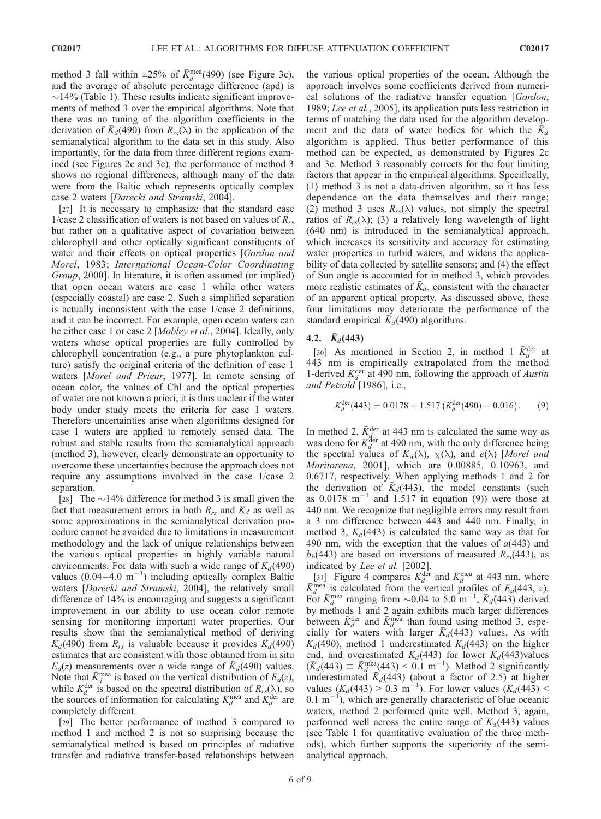method 3 fall within  $\pm 25\%$  of  $\bar{K}_{d}^{mea}(490)$  (see Figure 3c), and the average of absolute percentage difference (apd) is  $\sim$ 14% (Table 1). These results indicate significant improvements of method 3 over the empirical algorithms. Note that there was no tuning of the algorithm coefficients in the derivation of  $K_d(490)$  from  $R_{rs}(\lambda)$  in the application of the semianalytical algorithm to the data set in this study. Also importantly, for the data from three different regions examined (see Figures 2c and 3c), the performance of method 3 shows no regional differences, although many of the data were from the Baltic which represents optically complex case 2 waters [Darecki and Stramski, 2004].

[27] It is necessary to emphasize that the standard case 1/case 2 classification of waters is not based on values of  $R_{rs}$ but rather on a qualitative aspect of covariation between chlorophyll and other optically significant constituents of water and their effects on optical properties [Gordon and Morel, 1983; International Ocean-Color Coordinating Group, 2000]. In literature, it is often assumed (or implied) that open ocean waters are case 1 while other waters (especially coastal) are case 2. Such a simplified separation is actually inconsistent with the case 1/case 2 definitions, and it can be incorrect. For example, open ocean waters can be either case 1 or case 2 [Mobley et al., 2004]. Ideally, only waters whose optical properties are fully controlled by chlorophyll concentration (e.g., a pure phytoplankton culture) satisfy the original criteria of the definition of case 1 waters [Morel and Prieur, 1977]. In remote sensing of ocean color, the values of Chl and the optical properties of water are not known a priori, it is thus unclear if the water body under study meets the criteria for case 1 waters. Therefore uncertainties arise when algorithms designed for case 1 waters are applied to remotely sensed data. The robust and stable results from the semianalytical approach (method 3), however, clearly demonstrate an opportunity to overcome these uncertainties because the approach does not require any assumptions involved in the case 1/case 2 separation.

[28] The  $\sim$ 14% difference for method 3 is small given the fact that measurement errors in both  $R_{rs}$  and  $\bar{K}_d$  as well as some approximations in the semianalytical derivation procedure cannot be avoided due to limitations in measurement methodology and the lack of unique relationships between the various optical properties in highly variable natural environments. For data with such a wide range of  $\bar{K}_d$ (490) values  $(0.04-4.0 \text{ m}^{-1})$  including optically complex Baltic waters [Darecki and Stramski, 2004], the relatively small difference of 14% is encouraging and suggests a significant improvement in our ability to use ocean color remote sensing for monitoring important water properties. Our results show that the semianalytical method of deriving  $\overline{K_d}(490)$  from  $R_{rs}$  is valuable because it provides  $\overline{K_d}(490)$ estimates that are consistent with those obtained from in situ  $E_d(z)$  measurements over a wide range of  $\bar{K}_d(490)$  values. Note that  $\bar{K}_d^{\text{mea}}$  is based on the vertical distribution of  $E_d(z)$ , while  $\bar{K}_{d}^{\text{der}}$  is based on the spectral distribution of  $R_{r,s}(\lambda)$ , so the sources of information for calculating  $\bar{K}_d^{\text{mea}}$  and  $\bar{K}_d^{\text{der}}$  are completely different.

[29] The better performance of method 3 compared to method 1 and method 2 is not so surprising because the semianalytical method is based on principles of radiative transfer and radiative transfer-based relationships between

the various optical properties of the ocean. Although the approach involves some coefficients derived from numerical solutions of the radiative transfer equation [Gordon, 1989; Lee et al., 2005], its application puts less restriction in terms of matching the data used for the algorithm development and the data of water bodies for which the  $K_d$ algorithm is applied. Thus better performance of this method can be expected, as demonstrated by Figures 2c and 3c. Method 3 reasonably corrects for the four limiting factors that appear in the empirical algorithms. Specifically, (1) method 3 is not a data-driven algorithm, so it has less dependence on the data themselves and their range; (2) method 3 uses  $R_{rs}(\lambda)$  values, not simply the spectral ratios of  $R_{rs}(\lambda)$ ; (3) a relatively long wavelength of light (640 nm) is introduced in the semianalytical approach, which increases its sensitivity and accuracy for estimating water properties in turbid waters, and widens the applicability of data collected by satellite sensors; and (4) the effect of Sun angle is accounted for in method 3, which provides more realistic estimates of  $\bar{K}_d$ , consistent with the character of an apparent optical property. As discussed above, these four limitations may deteriorate the performance of the standard empirical  $\bar{K}_d$ (490) algorithms.

## 4.2.  $K_d(443)$

[30] As mentioned in Section 2, in method 1  $\bar{K}_{d}^{\text{der}}$  at 443 nm is empirically extrapolated from the method 1-derived  $\bar{K}_{d}^{\text{der}}$  at 490 nm, following the approach of Austin and Petzold  $[1986]$ , i.e.,

$$
\bar{K}_{d}^{\text{der}}(443) = 0.0178 + 1.517 \left( \bar{K}_{d}^{\text{der}}(490) - 0.016 \right). \tag{9}
$$

In method 2,  $\bar{K}_{d}^{\text{der}}$  at 443 nm is calculated the same way as was done for  $\bar{K}_{d}^{\text{der}}$  at 490 nm, with the only difference being the spectral values of  $K_w(\lambda)$ ,  $\chi(\lambda)$ , and  $e(\lambda)$  [Morel and Maritorena, 2001], which are 0.00885, 0.10963, and 0.6717, respectively. When applying methods 1 and 2 for the derivation of  $\bar{K}_d$ (443), the model constants (such as  $0.0178$  m<sup>-1</sup> and  $1.517$  in equation (9)) were those at 440 nm. We recognize that negligible errors may result from a 3 nm difference between 443 and 440 nm. Finally, in method 3,  $K_d(443)$  is calculated the same way as that for 490 nm, with the exception that the values of  $a(443)$  and  $b_b$ (443) are based on inversions of measured  $R_{rs}$ (443), as indicated by Lee et al. [2002].

[31] Figure 4 compares  $\bar{K}_d^{\text{der}}$  and  $\bar{K}_d^{\text{mea}}$  at 443 nm, where  $\bar{K}_d^{\text{mea}}$  is calculated from the vertical profiles of  $E_d(443, z)$ . For  $\bar{K}_{d}^{\text{mea}}$  ranging from ~0.04 to 5.0 m<sup>-1</sup>,  $\bar{K}_{d}(443)$  derived by methods 1 and 2 again exhibits much larger differences between  $\bar{K}_{d}^{\text{der}}$  and  $\bar{K}_{d}^{\text{mea}}$  than found using method 3, especially for waters with larger  $\bar{K}_d$ (443) values. As with  $K_d(490)$ , method 1 underestimated  $K_d(443)$  on the higher end, and overestimated  $\bar{K}_d$ (443) for lower  $\bar{K}_d$ (443)values  $(K_d(443) \equiv \bar{K}_d^{\text{mea}}(443) \le 0.1 \text{ m}^{-1}$ ). Method 2 significantly underestimated  $\bar{K}_d$ (443) (about a factor of 2.5) at higher values  $(\bar{K}_d(443) > 0.3 \text{ m}^{-1})$ . For lower values  $(\bar{K}_d(443) <$  $(0.1 \text{ m}^{-1})$ , which are generally characteristic of blue oceanic waters, method 2 performed quite well. Method 3, again, performed well across the entire range of  $K_d(443)$  values (see Table 1 for quantitative evaluation of the three methods), which further supports the superiority of the semianalytical approach.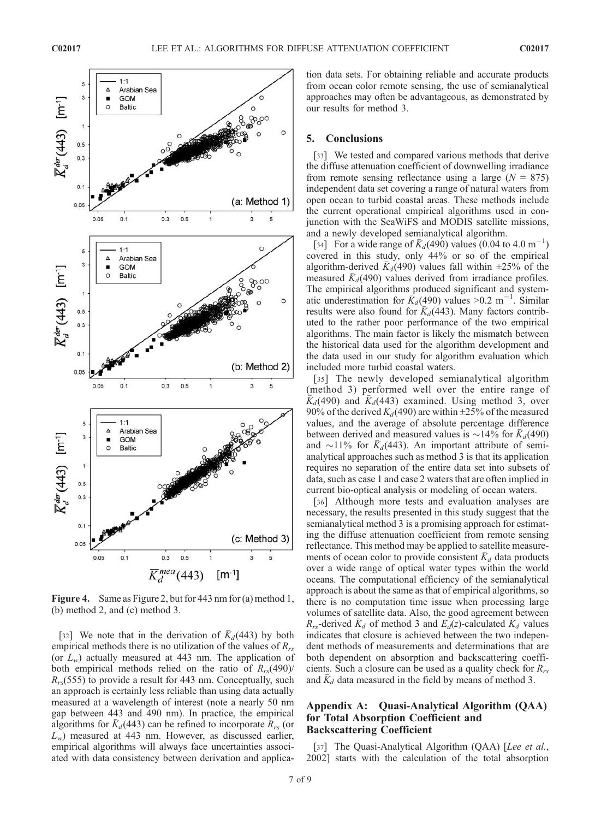

Figure 4. Same as Figure 2, but for 443 nm for (a) method 1, (b) method 2, and (c) method 3.

[32] We note that in the derivation of  $K_d(443)$  by both empirical methods there is no utilization of the values of  $R_{rs}$ (or  $L_w$ ) actually measured at 443 nm. The application of both empirical methods relied on the ratio of  $R_{rs}(490)$ /  $R_{rs}$ (555) to provide a result for 443 nm. Conceptually, such an approach is certainly less reliable than using data actually measured at a wavelength of interest (note a nearly 50 nm gap between 443 and 490 nm). In practice, the empirical algorithms for  $\bar{K}_d$ (443) can be refined to incorporate  $R_{rs}$  (or  $L_w$ ) measured at 443 nm. However, as discussed earlier, empirical algorithms will always face uncertainties associated with data consistency between derivation and application data sets. For obtaining reliable and accurate products from ocean color remote sensing, the use of semianalytical approaches may often be advantageous, as demonstrated by our results for method 3.

#### 5. Conclusions

[33] We tested and compared various methods that derive the diffuse attenuation coefficient of downwelling irradiance from remote sensing reflectance using a large  $(N = 875)$ independent data set covering a range of natural waters from open ocean to turbid coastal areas. These methods include the current operational empirical algorithms used in conjunction with the SeaWiFS and MODIS satellite missions, and a newly developed semianalytical algorithm.

[34] For a wide range of  $\bar{K}_d(490)$  values (0.04 to 4.0 m<sup>-1</sup>) covered in this study, only 44% or so of the empirical algorithm-derived  $K_d(490)$  values fall within  $\pm 25\%$  of the measured  $K_d(490)$  values derived from irradiance profiles. The empirical algorithms produced significant and systematic underestimation for  $\vec{k}_d$ (490) values >0.2 m<sup>-1</sup>. Similar results were also found for  $K_d(443)$ . Many factors contributed to the rather poor performance of the two empirical algorithms. The main factor is likely the mismatch between the historical data used for the algorithm development and the data used in our study for algorithm evaluation which included more turbid coastal waters.

[35] The newly developed semianalytical algorithm (method 3) performed well over the entire range of  $\bar{K}_d$ (490) and  $\bar{K}_d$ (443) examined. Using method 3, over 90% of the derived  $\overline{K}_d(490)$  are within  $\pm 25$ % of the measured values, and the average of absolute percentage difference between derived and measured values is  $\sim$ 14% for  $\bar{K}_d$ (490) and  $\sim$ 11% for  $K_d$ (443). An important attribute of semianalytical approaches such as method 3 is that its application requires no separation of the entire data set into subsets of data, such as case 1 and case 2 waters that are often implied in current bio-optical analysis or modeling of ocean waters.

[36] Although more tests and evaluation analyses are necessary, the results presented in this study suggest that the semianalytical method 3 is a promising approach for estimating the diffuse attenuation coefficient from remote sensing reflectance. This method may be applied to satellite measurements of ocean color to provide consistent  $K_d$  data products over a wide range of optical water types within the world oceans. The computational efficiency of the semianalytical approach is about the same as that of empirical algorithms, so there is no computation time issue when processing large volumes of satellite data. Also, the good agreement between  $R_{rs}$ -derived  $K_d$  of method 3 and  $E_d(z)$ -calculated  $K_d$  values indicates that closure is achieved between the two independent methods of measurements and determinations that are both dependent on absorption and backscattering coefficients. Such a closure can be used as a quality check for  $R_{rs}$ and  $K_d$  data measured in the field by means of method 3.

## Appendix A: Quasi-Analytical Algorithm (QAA) for Total Absorption Coefficient and Backscattering Coefficient

[37] The Quasi-Analytical Algorithm (QAA) [Lee et al., 2002] starts with the calculation of the total absorption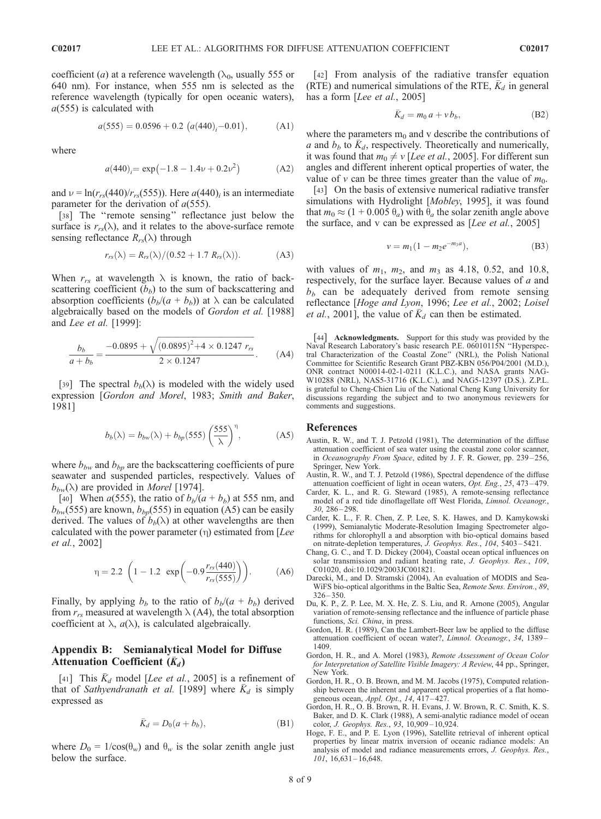coefficient (*a*) at a reference wavelength ( $\lambda_0$ , usually 555 or 640 nm). For instance, when 555 nm is selected as the reference wavelength (typically for open oceanic waters),  $a(555)$  is calculated with

$$
a(555) = 0.0596 + 0.2 \ (a(440)_i - 0.01), \tag{A1}
$$

where

$$
a(440)i = \exp(-1.8 - 1.4\nu + 0.2\nu^2)
$$
 (A2)

and  $\nu = \ln(r_{rs}(440)/r_{rs}(555))$ . Here  $a(440)_i$  is an intermediate parameter for the derivation of  $a(555)$ .

[38] The "remote sensing" reflectance just below the surface is  $r_{rs}(\lambda)$ , and it relates to the above-surface remote sensing reflectance  $R_{rs}(\lambda)$  through

$$
r_{rs}(\lambda) = R_{rs}(\lambda)/(0.52 + 1.7 R_{rs}(\lambda)).
$$
 (A3)

When  $r_{rs}$  at wavelength  $\lambda$  is known, the ratio of backscattering coefficient  $(b<sub>b</sub>)$  to the sum of backscattering and absorption coefficients  $(b_b/(a + b_b))$  at  $\lambda$  can be calculated algebraically based on the models of Gordon et al. [1988] and Lee et al. [1999]:

$$
\frac{b_b}{a+b_b} = \frac{-0.0895 + \sqrt{(0.0895)^2 + 4 \times 0.1247 r_{rs}}}{2 \times 0.1247}.
$$
 (A4)

[39] The spectral  $b_b(\lambda)$  is modeled with the widely used expression [Gordon and Morel, 1983; Smith and Baker, 1981]

$$
b_b(\lambda) = b_{bw}(\lambda) + b_{bp}(555) \left(\frac{555}{\lambda}\right)^{\eta}, \tag{A5}
$$

where  $b_{bw}$  and  $b_{bp}$  are the backscattering coefficients of pure seawater and suspended particles, respectively. Values of  $b_{bw}(\lambda)$  are provided in *Morel* [1974].

[40] When  $a(555)$ , the ratio of  $b<sub>b</sub>/(a + b<sub>b</sub>)$  at 555 nm, and  $b_{bw}$ (555) are known,  $b_{bv}$ (555) in equation (A5) can be easily derived. The values of  $b<sub>b</sub>(\lambda)$  at other wavelengths are then calculated with the power parameter  $(\eta)$  estimated from [Lee et al., 2002]

$$
\eta = 2.2 \left( 1 - 1.2 \exp\left( -0.9 \frac{r_{rs}(440)}{r_{rs}(555)} \right) \right). \tag{A6}
$$

Finally, by applying  $b<sub>b</sub>$  to the ratio of  $b<sub>b</sub>/(a + b<sub>b</sub>)$  derived from  $r_{rs}$  measured at wavelength  $\lambda$  (A4), the total absorption coefficient at  $\lambda$ ,  $a(\lambda)$ , is calculated algebraically.

## Appendix B: Semianalytical Model for Diffuse Attenuation Coefficient  $(\bar{K}_d)$

[41] This  $\bar{K}_d$  model [Lee et al., 2005] is a refinement of that of Sathyendranath et al. [1989] where  $K_d$  is simply expressed as

$$
\bar{K}_d = D_0(a + b_b),\tag{B1}
$$

where  $D_0 = 1/\cos(\theta_w)$  and  $\theta_w$  is the solar zenith angle just below the surface.

[42] From analysis of the radiative transfer equation (RTE) and numerical simulations of the RTE,  $K_d$  in general has a form [Lee et al., 2005]

$$
\bar{K}_d = m_0 a + v b_b, \tag{B2}
$$

where the parameters  $m_0$  and v describe the contributions of a and  $b_b$  to  $\bar{K}_d$ , respectively. Theoretically and numerically, it was found that  $m_0 \neq v$  [Lee et al., 2005]. For different sun angles and different inherent optical properties of water, the value of  $v$  can be three times greater than the value of  $m_0$ .

[43] On the basis of extensive numerical radiative transfer simulations with Hydrolight [*Mobley*, 1995], it was found that  $m_0 \approx (1 + 0.005 \theta_a)$  with  $\theta_a$  the solar zenith angle above the surface, and v can be expressed as  $[Lee \, et \, al., \, 2005]$ 

$$
v = m_1 (1 - m_2 e^{-m_3 a}), \tag{B3}
$$

with values of  $m_1$ ,  $m_2$ , and  $m_3$  as 4.18, 0.52, and 10.8, respectively, for the surface layer. Because values of a and  $b<sub>b</sub>$  can be adequately derived from remote sensing reflectance [Hoge and Lyon, 1996; Lee et al., 2002; Loisel *et al.*, 2001], the value of  $\bar{K}_d$  can then be estimated.

[44] Acknowledgments. Support for this study was provided by the Naval Research Laboratory's basic research P.E. 06010115N ''Hyperspectral Characterization of the Coastal Zone'' (NRL), the Polish National Committee for Scientific Research Grant PBZ-KBN 056/P04/2001 (M.D.), ONR contract N00014-02-1-0211 (K.L.C.), and NASA grants NAG-W10288 (NRL), NAS5-31716 (K.L.C.), and NAG5-12397 (D.S.). Z.P.L. is grateful to Cheng-Chien Liu of the National Cheng Kung University for discussions regarding the subject and to two anonymous reviewers for comments and suggestions.

#### References

- Austin, R. W., and T. J. Petzold (1981), The determination of the diffuse attenuation coefficient of sea water using the coastal zone color scanner, in Oceanography From Space, edited by J. F. R. Gower, pp. 239-256, Springer, New York.
- Austin, R. W., and T. J. Petzold (1986), Spectral dependence of the diffuse attenuation coefficient of light in ocean waters, Opt. Eng., 25, 473 – 479.
- Carder, K. L., and R. G. Steward (1985), A remote-sensing reflectance model of a red tide dinoflagellate off West Florida, Limnol. Oceanogr., 30, 286 – 298.
- Carder, K. L., F. R. Chen, Z. P. Lee, S. K. Hawes, and D. Kamykowski (1999), Semianalytic Moderate-Resolution Imaging Spectrometer algorithms for chlorophyll a and absorption with bio-optical domains based on nitrate-depletion temperatures, J. Geophys. Res., 104, 5403 – 5421.
- Chang, G. C., and T. D. Dickey (2004), Coastal ocean optical influences on solar transmission and radiant heating rate, J. Geophys. Res., 109, C01020, doi:10.1029/2003JC001821.
- Darecki, M., and D. Stramski (2004), An evaluation of MODIS and Sea-WiFS bio-optical algorithms in the Baltic Sea, Remote Sens. Environ., 89,  $326 - 350$
- Du, K. P., Z. P. Lee, M. X. He, Z. S. Liu, and R. Arnone (2005), Angular variation of remote-sensing reflectance and the influence of particle phase functions, Sci. China, in press.
- Gordon, H. R. (1989), Can the Lambert-Beer law be applied to the diffuse attenuation coefficient of ocean water?, Limnol. Oceanogr., 34, 1389-1409.
- Gordon, H. R., and A. Morel (1983), Remote Assessment of Ocean Color for Interpretation of Satellite Visible Imagery: A Review, 44 pp., Springer, New York.
- Gordon, H. R., O. B. Brown, and M. M. Jacobs (1975), Computed relationship between the inherent and apparent optical properties of a flat homogeneous ocean, Appl. Opt.,  $14, 417-427$ .
- Gordon, H. R., O. B. Brown, R. H. Evans, J. W. Brown, R. C. Smith, K. S. Baker, and D. K. Clark (1988), A semi-analytic radiance model of ocean color, J. Geophys. Res., 93, 10,909 – 10,924.
- Hoge, F. E., and P. E. Lyon (1996), Satellite retrieval of inherent optical properties by linear matrix inversion of oceanic radiance models: An analysis of model and radiance measurements errors, J. Geophys. Res., 101, 16,631 – 16,648.